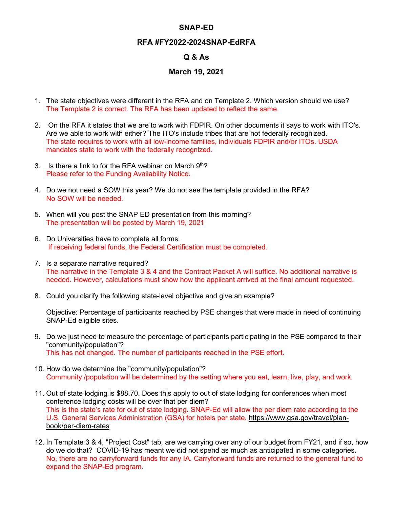## **SNAP-ED**

## **RFA #FY2022-2024SNAP-EdRFA**

## **Q & As**

## **March 19, 2021**

- 1. The state objectives were different in the RFA and on Template 2. Which version should we use? The Template 2 is correct. The RFA has been updated to reflect the same.
- 2. On the RFA it states that we are to work with FDPIR. On other documents it says to work with ITO's. Are we able to work with either? The ITO's include tribes that are not federally recognized. The state requires to work with all low-income families, individuals FDPIR and/or ITOs. USDA mandates state to work with the federally recognized.
- 3. Is there a link to for the RFA webinar on March  $9<sup>th</sup>$ ? Please refer to the Funding Availability Notice.
- 4. Do we not need a SOW this year? We do not see the template provided in the RFA? No SOW will be needed.
- 5. When will you post the SNAP ED presentation from this morning? The presentation will be posted by March 19, 2021
- 6. Do Universities have to complete all forms. If receiving federal funds, the Federal Certification must be completed.
- 7. Is a separate narrative required? The narrative in the Template 3 & 4 and the Contract Packet A will suffice. No additional narrative is needed. However, calculations must show how the applicant arrived at the final amount requested.
- 8. Could you clarify the following state-level objective and give an example?

Objective: Percentage of participants reached by PSE changes that were made in need of continuing SNAP-Ed eligible sites.

- 9. Do we just need to measure the percentage of participants participating in the PSE compared to their "community/population"? This has not changed. The number of participants reached in the PSE effort.
- 10. How do we determine the "community/population"? Community /population will be determined by the setting where you eat, learn, live, play, and work.
- 11. Out of state lodging is \$88.70. Does this apply to out of state lodging for conferences when most conference lodging costs will be over that per diem? This is the state's rate for out of state lodging. SNAP-Ed will allow the per diem rate according to the U.S. General Services Administration (GSA) for hotels per state. [https://www.gsa.gov/travel/plan](https://www.gsa.gov/travel/plan-book/per-diem-rates)[book/per-diem-rates](https://www.gsa.gov/travel/plan-book/per-diem-rates)
- 12. In Template 3 & 4, "Project Cost" tab, are we carrying over any of our budget from FY21, and if so, how do we do that? COVID-19 has meant we did not spend as much as anticipated in some categories. No, there are no carryforward funds for any IA. Carryforward funds are returned to the general fund to expand the SNAP-Ed program.